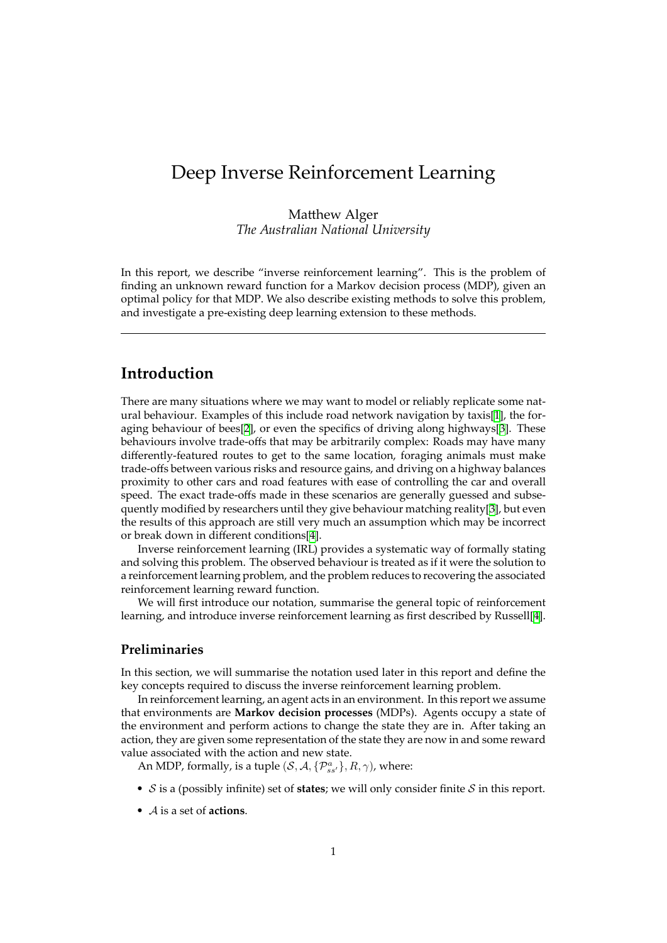# Deep Inverse Reinforcement Learning

Matthew Alger *The Australian National University*

In this report, we describe "inverse reinforcement learning". This is the problem of finding an unknown reward function for a Markov decision process (MDP), given an optimal policy for that MDP. We also describe existing methods to solve this problem, and investigate a pre-existing deep learning extension to these methods.

# **Introduction**

There are many situations where we may want to model or reliably replicate some natural behaviour. Examples of this include road network navigation by taxis[1], the foraging behaviour of bees[2], or even the specifics of driving along highways[3]. These behaviours involve trade-offs that may be arbitrarily complex: Roads may have many differently-featured routes to get to the same location, foraging animals must make trade-offs between various risks and resource gains, and driving on a highw[ay](#page-16-0) balances proximity to other cars [an](#page-16-1)d road features with ease of controlling the car a[nd](#page-16-2) overall speed. The exact trade-offs made in these scenarios are generally guessed and subsequently modified by researchers until they give behaviour matching reality[3], but even the results of this approach are still very much an assumption which may be incorrect or break down in different conditions[4].

Inverse reinforcement learning (IRL) provides a systematic way of formally stating and solving this problem. The observed behaviour is treated as if it were th[e s](#page-16-2)olution to a reinforcement learning problem, and the problem reduces to recovering the associated reinforcement learning reward functi[on](#page-17-0).

We will first introduce our notation, summarise the general topic of reinforcement learning, and introduce inverse reinforcement learning as first described by Russell[4].

### **Preliminaries**

In this section, we will summarise the notation used later in this report and define [th](#page-17-0)e key concepts required to discuss the inverse reinforcement learning problem.

In reinforcement learning, an agent acts in an environment. In this report we assume that environments are **Markov decision processes** (MDPs). Agents occupy a state of the environment and perform actions to change the state they are in. After taking an action, they are given some representation of the state they are now in and some reward value associated with the action and new state.

An MDP, formally, is a tuple  $(S, \mathcal{A}, \{P_{ss'}^a\}, R, \gamma)$ , where:

- *S* is a (possibly infinite) set of **states**; we will only consider finite *S* in this report.
- *A* is a set of **actions**.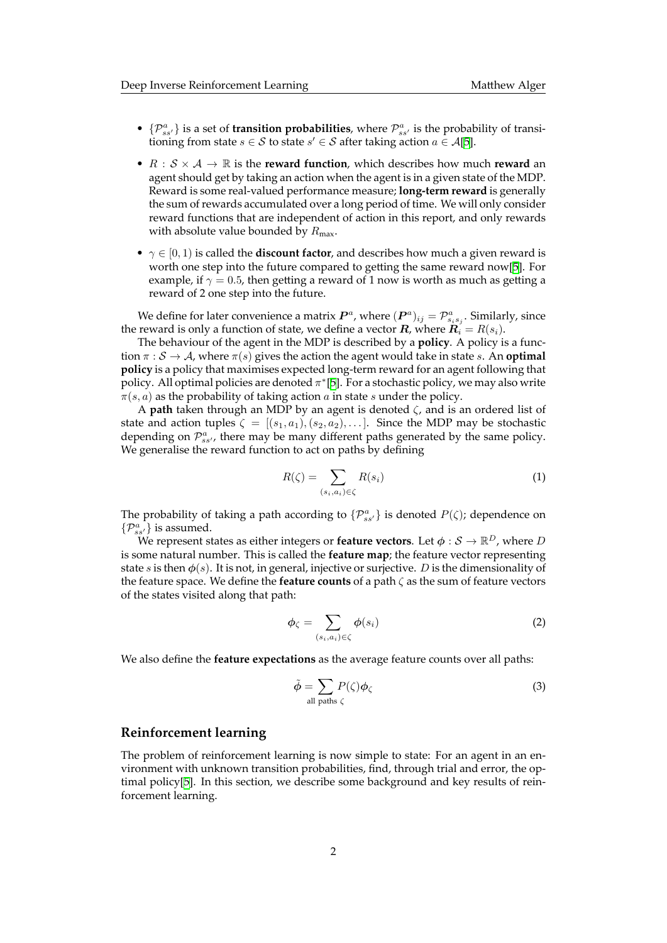- $\{P_{ss'}^a\}$  is a set of **transition probabilities**, where  $P_{ss'}^a$  is the probability of transitioning from state  $s \in \mathcal{S}$  to state  $s' \in \mathcal{S}$  after taking action  $a \in \mathcal{A}[5]$ .
- *R* : *S × A →* R is the **reward function**, which describes how much **reward** an agent should get by taking an action when the agent is in a given state of the MDP. Reward is some real-valued performance measure; **long-term reward** is generally the sum of rewards accumulated over a long period of time. We [wi](#page-17-1)ll only consider reward functions that are independent of action in this report, and only rewards with absolute value bounded by  $R_{\text{max}}$ .
- *γ ∈* [0*,* 1) is called the **discount factor**, and describes how much a given reward is worth one step into the future compared to getting the same reward now[5]. For example, if  $\gamma = 0.5$ , then getting a reward of 1 now is worth as much as getting a reward of 2 one step into the future.

We define for later convenience a matrix  $P^a$ , where  $(P^a)_{ij} = \mathcal{P}^a_{s_i s_j}$ . Similarl[y,](#page-17-1) since the reward is only a function of state, we define a vector  $\mathbf{R}$ , where  $\mathbf{R}_i = R(s_i)$ .

The behaviour of the agent in the MDP is described by a **policy**. A policy is a function *π* : *S → A*, where *π*(*s*) gives the action the agent would take in state *s*. An **optimal policy** is a policy that maximises expected long-term reward for an agent following that policy. All optimal policies are denoted *π ∗* [5]. For a stochastic policy, we may also write *π*(*s, a*) as the probability of taking action *a* in state *s* under the policy.

A **path** taken through an MDP by an agent is denoted *ζ*, and is an ordered list of state and action tuples  $\zeta = [(s_1, a_1), (s_2, a_2), \ldots]$ . Since the MDP may be stochastic depending on  $\mathcal{P}_{ss'}^a$ , there may be many di[ff](#page-17-1)erent paths generated by the same policy. We generalise the reward function to act on paths by defining

$$
R(\zeta) = \sum_{(s_i, a_i) \in \zeta} R(s_i) \tag{1}
$$

The probability of taking a path according to  $\{P^a_{ss'}\}$  is denoted  $P(\zeta)$ ; dependence on  $\{\mathcal{P}^a_{ss'}\}$  is assumed.

We represent states as either integers or **feature vectors**. Let *ϕ* : *S →* R *<sup>D</sup>*, where *D* is some natural number. This is called the **feature map**; the feature vector representing state *s* is then  $\phi(s)$ . It is not, in general, injective or surjective. *D* is the dimensionality of the feature space. We define the **feature counts** of a path *ζ* as the sum of feature vectors of the states visited along that path:

$$
\phi_{\zeta} = \sum_{(s_i, a_i) \in \zeta} \phi(s_i) \tag{2}
$$

We also define the **feature expectations** as the average feature counts over all paths:

$$
\tilde{\phi} = \sum_{\text{all paths } \zeta} P(\zeta) \phi_{\zeta} \tag{3}
$$

### **Reinforcement learning**

The problem of reinforcement learning is now simple to state: For an agent in an environment with unknown transition probabilities, find, through trial and error, the optimal policy[5]. In this section, we describe some background and key results of reinforcement learning.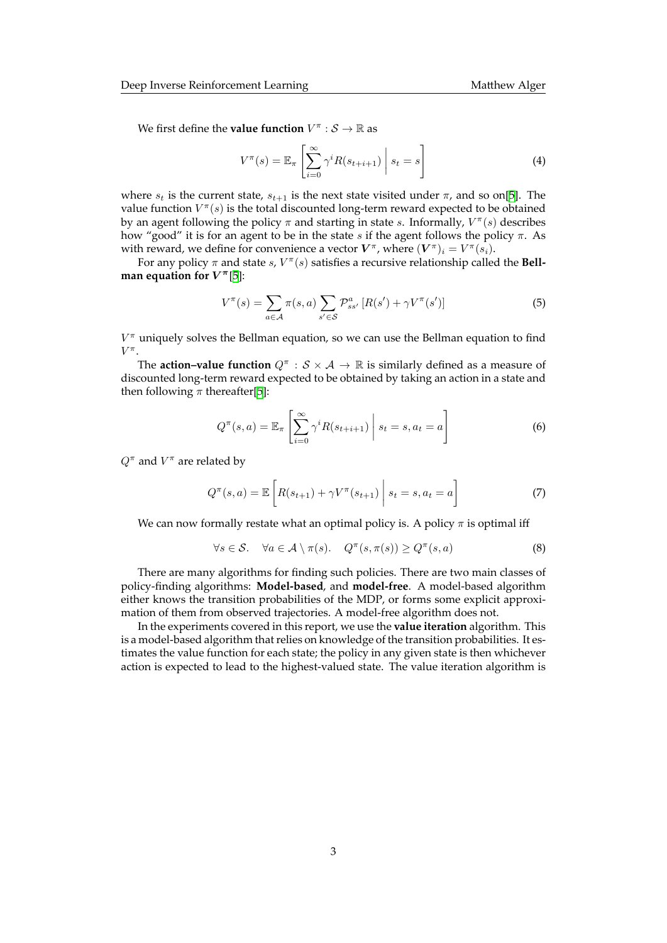We first define the **value function**  $V^{\pi}$  :  $S \to \mathbb{R}$  as

$$
V^{\pi}(s) = \mathbb{E}_{\pi} \left[ \sum_{i=0}^{\infty} \gamma^{i} R(s_{t+i+1}) \middle| s_t = s \right]
$$
 (4)

where  $s_t$  is the current state,  $s_{t+1}$  is the next state visited under  $\pi$ , and so on[5]. The value function *V π* (*s*) is the total discounted long-term reward expected to be obtained by an agent following the policy *π* and starting in state *s*. Informally, *V π* (*s*) describes how "good" it is for an agent to be in the state *s* if the agent follows the policy *π*. As with reward, we define for convenience a vector  $\boldsymbol{V}^{\pi}$ , where  $(\boldsymbol{V}^{\pi})_i = V^{\pi}(s_i)$ .

For any policy  $\pi$  and state  $s$ ,  $V^{\pi}(s)$  satisfies a recursive relationship called t[he](#page-17-1) **Bellman equation for**  $V^{\pi}[5]$ **:** 

<span id="page-2-0"></span>
$$
V^{\pi}(s) = \sum_{a \in \mathcal{A}} \pi(s, a) \sum_{s' \in \mathcal{S}} \mathcal{P}_{ss'}^{a} \left[ R(s') + \gamma V^{\pi}(s') \right]
$$
(5)

*V <sup>π</sup>* uniquely solves th[e](#page-17-1) Bellman equation, so we can use the Bellman equation to find *V π* .

The **action–value function**  $Q^{\pi}$  :  $S \times A \rightarrow \mathbb{R}$  is similarly defined as a measure of discounted long-term reward expected to be obtained by taking an action in a state and then following  $\pi$  thereafter[5]:

$$
Q^{\pi}(s, a) = \mathbb{E}_{\pi} \left[ \sum_{i=0}^{\infty} \gamma^{i} R(s_{t+i+1}) \middle| s_t = s, a_t = a \right]
$$
 (6)

*Q<sup>π</sup>* and *V <sup>π</sup>* are related by

$$
Q^{\pi}(s, a) = \mathbb{E}\left[R(s_{t+1}) + \gamma V^{\pi}(s_{t+1}) \middle| s_t = s, a_t = a\right]
$$
\n(7)

We can now formally restate what an optimal policy is. A policy *π* is optimal iff

$$
\forall s \in \mathcal{S}. \quad \forall a \in \mathcal{A} \setminus \pi(s). \quad Q^{\pi}(s, \pi(s)) \ge Q^{\pi}(s, a)
$$
\n
$$
(8)
$$

There are many algorithms for finding such policies. There are two main classes of policy-finding algorithms: **Model-based**, and **model-free**. A model-based algorithm either knows the transition probabilities of the MDP, or forms some explicit approximation of them from observed trajectories. A model-free algorithm does not.

In the experiments covered in this report, we use the **value iteration** algorithm. This is a model-based algorithm that relies on knowledge of the transition probabilities. It estimates the value function for each state; the policy in any given state is then whichever action is expected to lead to the highest-valued state. The value iteration algorithm is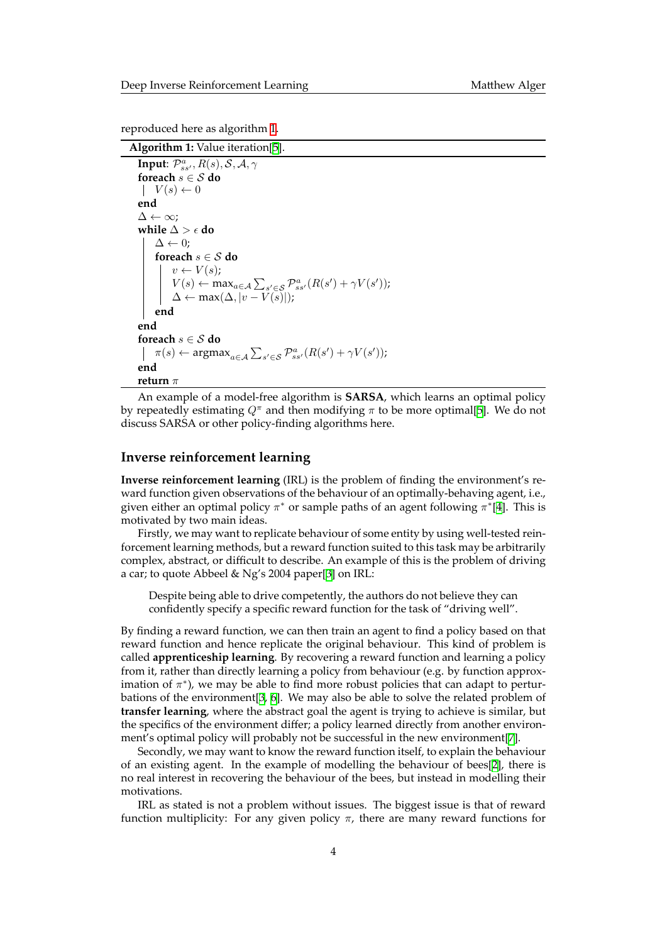reproduced here as algorithm 1.

**Algorithm 1:** Value iteration[5].

```
Input: \mathcal{P}_{ss'}^a, R(s), \mathcal{S}, \mathcal{A}, \gammaforeach s ∈ S do
 V(s) \leftarrow 0end
∆ ← ∞;
while \Delta > \epsilon do
      \Delta \leftarrow 0;
      foreach s ∈ S do
            v \leftarrow V(s);
             V(s) \leftarrow \max_{a \in \mathcal{A}} \sum_{s' \in \mathcal{S}} \mathcal{P}_{ss'}^a(R(s') + \gamma V(s'));\Delta \leftarrow \max(\Delta, |v - V(s)|);end
end
foreach s ∈ S do
       \pi(s) \leftarrow \operatorname{argmax}_{a \in A} \sum_{s' \in S} \mathcal{P}_{ss'}^a(R(s') + \gamma V(s'));end
return π
```
An example of a model-free algorithm is **SARSA**, which learns an optimal policy by repeatedly estimating  $Q^{\pi}$  and then modifying  $\pi$  to be more optimal[5]. We do not discuss SARSA or other policy-finding algorithms here.

### **Inverse reinforcement learning**

**Inverse reinforcement learning** (IRL) is the problem of finding the environment's reward function given observations of the behaviour of an optimally-behaving agent, i.e., given either an optimal policy *π <sup>∗</sup>* or sample paths of an agent following *π ∗* [4]. This is motivated by two main ideas.

Firstly, we may want to replicate behaviour of some entity by using well-tested reinforcement learning methods, but a reward function suited to this task may be arbitrarily complex, abstract, or difficult to describe. An example of this is the problem [o](#page-17-0)f driving a car; to quote Abbeel & Ng's 2004 paper[3] on IRL:

Despite being able to drive competently, the authors do not believe they can confidently specify a specific reward function for the task of "driving well".

By finding a reward function, we can the[n t](#page-16-2)rain an agent to find a policy based on that reward function and hence replicate the original behaviour. This kind of problem is called **apprenticeship learning**. By recovering a reward function and learning a policy from it, rather than directly learning a policy from behaviour (e.g. by function approximation of *π ∗* ), we may be able to find more robust policies that can adapt to perturbations of the environment[3, 6]. We may also be able to solve the related problem of **transfer learning**, where the abstract goal the agent is trying to achieve is similar, but the specifics of the environment differ; a policy learned directly from another environment's optimal policy will probably not be successful in the new environment[7].

Secondly, we may want [to](#page-16-2) [kn](#page-17-2)ow the reward function itself, to explain the behaviour of an existing agent. In the example of modelling the behaviour of bees[2], there is no real interest in recovering the behaviour of the bees, but instead in modelling their motivations.

IRL as stated is not a problem without issues. The biggest issue is that of [r](#page-17-3)eward function multiplicity: For any given policy *π*, there are many reward fu[n](#page-16-1)ctions for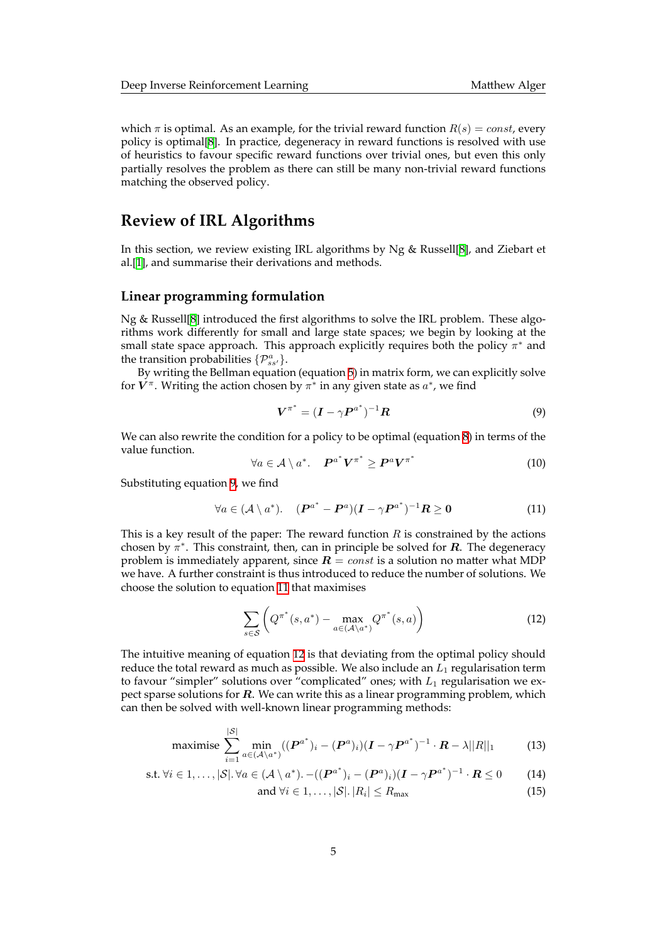which  $\pi$  is optimal. As an example, for the trivial reward function  $R(s) = const$ , every policy is optimal[8]. In practice, degeneracy in reward functions is resolved with use of heuristics to favour specific reward functions over trivial ones, but even this only partially resolves the problem as there can still be many non-trivial reward functions matching the observed policy.

# **Review of IRL Algorithms**

In this section, we review existing IRL algorithms by Ng & Russell[8], and Ziebart et al.[1], and summarise their derivations and methods.

### **Linear programming formulation**

Ng [&](#page-16-0) Russell[8] introduced the first algorithms to solve the IRL problem. These algorithms work differently for small and large state spaces; we begin by looking at the small state space approach. This approach explicitly requires both the policy *π <sup>∗</sup>* and the transition probabilities  $\{\mathcal{P}_{ss'}^a\}$ .

By writing [th](#page-17-4)e Bellman equation (equation 5) in matrix form, we can explicitly solve for  $\bar{V}^{\pi}$ . Writing the action chosen by  $\pi^*$  in any given state as  $a^*$ , we find

$$
\boldsymbol{V}^{\pi^*} = (\boldsymbol{I} - \gamma \boldsymbol{P}^{a^*})^{-1} \boldsymbol{R} \tag{9}
$$

We can also rewrite the condition for a policy [to](#page-2-0) be optimal (equation 8) in terms of the value function.

<span id="page-4-0"></span>
$$
\forall a \in \mathcal{A} \setminus a^*.\quad \boldsymbol{P}^{a^*} \boldsymbol{V}^{\pi^*} \ge \boldsymbol{P}^a \boldsymbol{V}^{\pi^*} \tag{10}
$$

Substituting equation 9, we find

<span id="page-4-1"></span>
$$
\forall a \in (\mathcal{A} \setminus a^*). \quad (\boldsymbol{P}^{a^*} - \boldsymbol{P}^a)(\boldsymbol{I} - \gamma \boldsymbol{P}^{a^*})^{-1}\boldsymbol{R} \ge 0 \tag{11}
$$

This is a key result of [th](#page-4-0)e paper: The reward function *R* is constrained by the actions chosen by *π ∗* . This constraint, then, can in principle be solved for *R*. The degeneracy problem is immediately apparent, since  $R = const$  is a solution no matter what MDP we have. A further constraint is thus introduced to reduce the number of solutions. We choose the solution to equation 11 that maximises

<span id="page-4-2"></span>
$$
\sum_{s \in \mathcal{S}} \left( Q^{\pi^*}(s, a^*) - \max_{a \in (\mathcal{A} \setminus a^*)} Q^{\pi^*}(s, a) \right) \tag{12}
$$

The intuitive meaning of equati[on](#page-4-1) 12 is that deviating from the optimal policy should reduce the total reward as much as possible. We also include an *L*<sup>1</sup> regularisation term to favour "simpler" solutions over "complicated" ones; with  $L_1$  regularisation we expect sparse solutions for *R*. We can write this as a linear programming problem, which can then be solved with well-know[n l](#page-4-2)inear programming methods:

maximise 
$$
\sum_{i=1}^{|\mathcal{S}|} \min_{a \in (\mathcal{A}\backslash a^*)} ((\boldsymbol{P}^{a^*})_i - (\boldsymbol{P}^{a})_i)(\boldsymbol{I} - \gamma \boldsymbol{P}^{a^*})^{-1} \cdot \boldsymbol{R} - \lambda ||R||_1
$$
 (13)

s.t. 
$$
\forall i \in 1, ..., |\mathcal{S}|
$$
.  $\forall a \in (\mathcal{A} \setminus a^*)$ .  $-((\boldsymbol{P}^{a^*})_i - (\boldsymbol{P}^{a})_i)(\boldsymbol{I} - \gamma \boldsymbol{P}^{a^*})^{-1} \cdot \boldsymbol{R} \leq 0$  (14)

$$
\text{and } \forall i \in 1, \dots, |\mathcal{S}|. |R_i| \le R_{\text{max}} \tag{15}
$$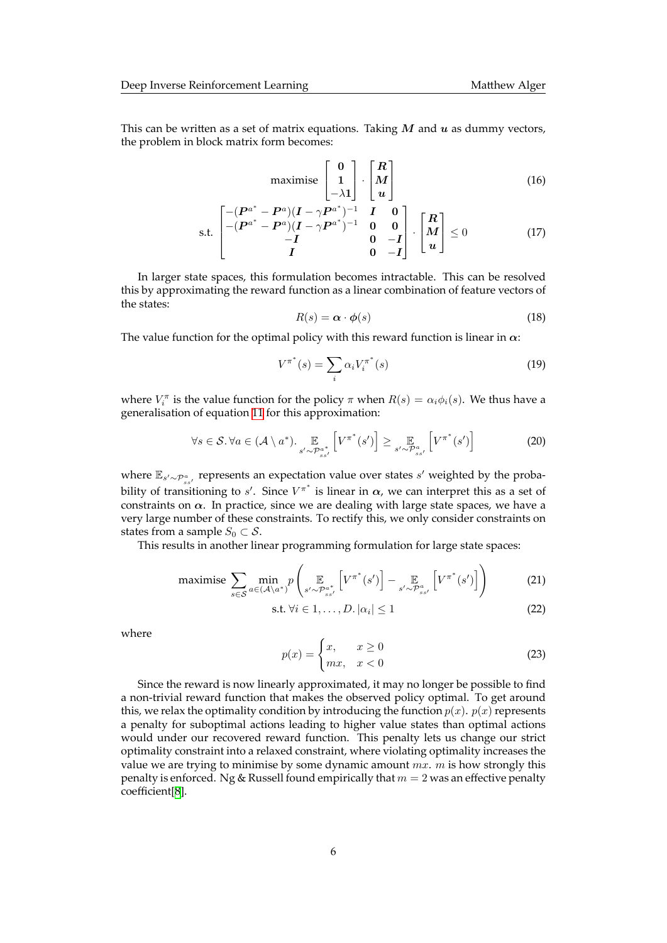This can be written as a set of matrix equations. Taking M and u as dummy vectors, the problem in block matrix form becomes:

maximise 
$$
\begin{bmatrix} 0 \\ 1 \\ -\lambda 1 \end{bmatrix} \cdot \begin{bmatrix} R \\ M \\ u \end{bmatrix}
$$
 (16)

$$
\text{s.t.} \begin{bmatrix} -(P^{a^*} - P^a)(I - \gamma P^{a^*})^{-1} & I & 0 \\ -(P^{a^*} - P^a)(I - \gamma P^{a^*})^{-1} & 0 & 0 \\ -I & 0 & -I \\ I & 0 & -I \end{bmatrix} \cdot \begin{bmatrix} R \\ M \\ u \end{bmatrix} \leq 0 \tag{17}
$$

In larger state spaces, this formulation becomes intractable. This can be resolved this by approximating the reward function as a linear combination of feature vectors of the states:

$$
R(s) = \alpha \cdot \phi(s) \tag{18}
$$

The value function for the optimal policy with this reward function is linear in *α*:

<span id="page-5-0"></span>
$$
V^{\pi^*}(s) = \sum_{i} \alpha_i V_i^{\pi^*}(s)
$$
 (19)

where  $V_i^{\pi}$  is the value function for the policy  $\pi$  when  $R(s) = \alpha_i \phi_i(s)$ . We thus have a generalisation of equation 11 for this approximation:

$$
\forall s \in \mathcal{S}. \forall a \in (\mathcal{A} \setminus a^*). \underset{s' \sim \mathcal{P}_{ss'}^{a^*}}{\mathbb{E}} \left[ V^{\pi^*}(s') \right] \geq \underset{s' \sim \mathcal{P}_{ss'}^{a}}{\mathbb{E}} \left[ V^{\pi^*}(s') \right] \tag{20}
$$

*wh*ere  $\mathbb{E}_{s' \sim \mathcal{P}^a_{ss'}}$  represents [an](#page-4-1) expectation value over states *s'* weighted by the probability of transitioning to *s'*. Since  $V^{\pi^*}$  is linear in  $\alpha$ , we can interpret this as a set of constraints on  $\alpha$ . In practice, since we are dealing with large state spaces, we have a very large number of these constraints. To rectify this, we only consider constraints on states from a sample  $S_0 \subset S$ .

This results in another linear programming formulation for large state spaces:

maximise 
$$
\sum_{s \in \mathcal{S}} \min_{a \in (\mathcal{A} \setminus a^*)} p\left( \mathop{\mathbb{E}}_{s' \sim \mathcal{P}_{ss'}^{a^*}} \left[ V^{\pi^*}(s') \right] - \mathop{\mathbb{E}}_{s' \sim \mathcal{P}_{ss'}^{a}} \left[ V^{\pi^*}(s') \right] \right)
$$
(21)

$$
\text{s.t. } \forall i \in 1, \dots, D. \left| \alpha_i \right| \le 1 \tag{22}
$$

where

$$
p(x) = \begin{cases} x, & x \ge 0 \\ mx, & x < 0 \end{cases} \tag{23}
$$

Since the reward is now linearly approximated, it may no longer be possible to find a non-trivial reward function that makes the observed policy optimal. To get around this, we relax the optimality condition by introducing the function  $p(x)$ .  $p(x)$  represents a penalty for suboptimal actions leading to higher value states than optimal actions would under our recovered reward function. This penalty lets us change our strict optimality constraint into a relaxed constraint, where violating optimality increases the value we are trying to minimise by some dynamic amount *mx*. *m* is how strongly this penalty is enforced. Ng & Russell found empirically that *m* = 2 was an effective penalty coefficient[8].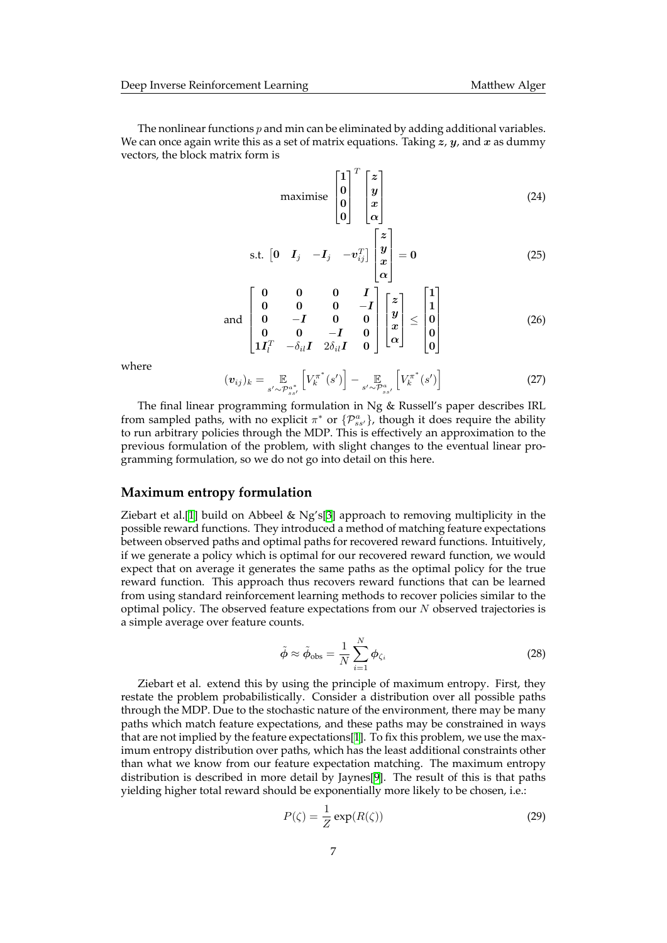The nonlinear functions *p* and min can be eliminated by adding additional variables. We can once again write this as a set of matrix equations. Taking *z*, *y*, and *x* as dummy vectors, the block matrix form is

maximise 
$$
\begin{bmatrix} 1 \\ 0 \\ 0 \\ 0 \end{bmatrix}^T \begin{bmatrix} z \\ y \\ x \\ \alpha \end{bmatrix}
$$
 (24)

$$
\text{s.t. } \begin{bmatrix} 0 & I_j & -I_j & -v_{ij}^T \end{bmatrix} \begin{bmatrix} z \\ y \\ x \\ \alpha \end{bmatrix} = 0 \tag{25}
$$

and 
$$
\begin{bmatrix} 0 & 0 & 0 & I \\ 0 & 0 & 0 & -I \\ 0 & -I & 0 & 0 \\ 0 & 0 & -I & 0 \\ 1I_{l}^{T} & -\delta_{il}I & 2\delta_{il}I & 0 \end{bmatrix} \begin{bmatrix} z \\ y \\ x \\ \alpha \end{bmatrix} \leq \begin{bmatrix} 1 \\ 1 \\ 0 \\ 0 \\ 0 \end{bmatrix}
$$
 (26)

where

$$
(\boldsymbol{v}_{ij})_k = \mathop{\mathbb{E}}_{s' \sim \mathcal{P}_{ss'}^{a^*}} \left[ V_k^{\pi^*}(s') \right] - \mathop{\mathbb{E}}_{s' \sim \mathcal{P}_{ss'}^{a}} \left[ V_k^{\pi^*}(s') \right] \tag{27}
$$

The final linear programming formulation in Ng & Russell's paper describes IRL from sampled paths, with no explicit  $\pi^*$  or  $\{\mathcal{P}_{ss'}^a\}$ , though it does require the ability to run arbitrary policies through the MDP. This is effectively an approximation to the previous formulation of the problem, with slight changes to the eventual linear programming formulation, so we do not go into detail on this here.

### **Maximum entropy formulation**

Ziebart et al.[1] build on Abbeel & Ng's[3] approach to removing multiplicity in the possible reward functions. They introduced a method of matching feature expectations between observed paths and optimal paths for recovered reward functions. Intuitively, if we generate a policy which is optimal for our recovered reward function, we would expect that o[n](#page-16-0) average it generates the s[am](#page-16-2)e paths as the optimal policy for the true reward function. This approach thus recovers reward functions that can be learned from using standard reinforcement learning methods to recover policies similar to the optimal policy. The observed feature expectations from our *N* observed trajectories is a simple average over feature counts.

$$
\tilde{\phi} \approx \tilde{\phi}_{\text{obs}} = \frac{1}{N} \sum_{i=1}^{N} \phi_{\zeta_i}
$$
\n(28)

Ziebart et al. extend this by using the principle of maximum entropy. First, they restate the problem probabilistically. Consider a distribution over all possible paths through the MDP. Due to the stochastic nature of the environment, there may be many paths which match feature expectations, and these paths may be constrained in ways that are not implied by the feature expectations[1]. To fix this problem, we use the maximum entropy distribution over paths, which has the least additional constraints other than what we know from our feature expectation matching. The maximum entropy distribution is described in more detail by Jaynes[9]. The result of this is that paths yielding higher total reward should be expone[nt](#page-16-0)ially more likely to be chosen, i.e.:

$$
P(\zeta) = \frac{1}{Z} \exp(R(\zeta))
$$
\n(29)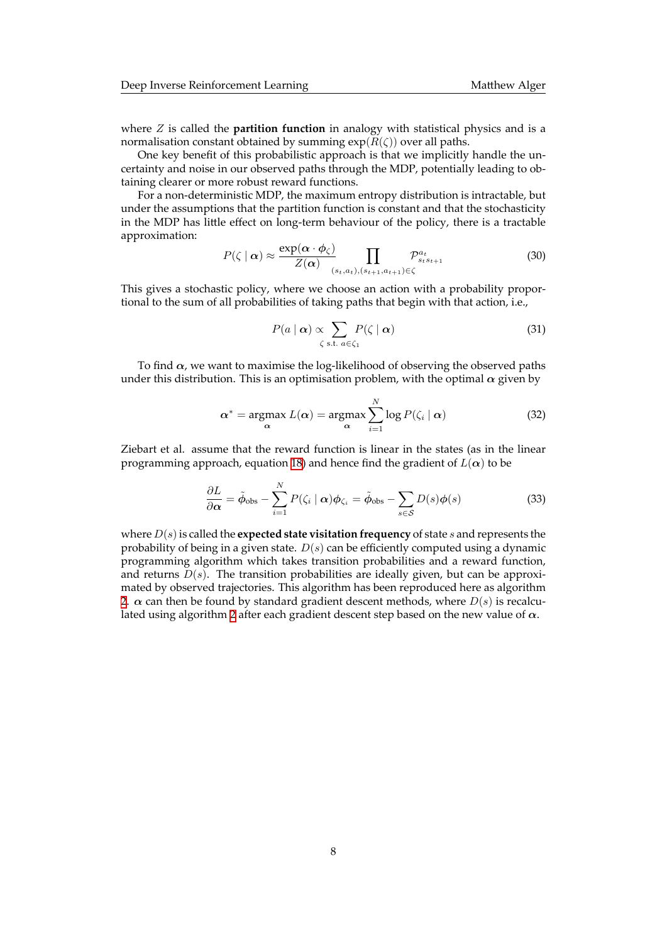where *Z* is called the **partition function** in analogy with statistical physics and is a normalisation constant obtained by summing exp(*R*(*ζ*)) over all paths.

One key benefit of this probabilistic approach is that we implicitly handle the uncertainty and noise in our observed paths through the MDP, potentially leading to obtaining clearer or more robust reward functions.

For a non-deterministic MDP, the maximum entropy distribution is intractable, but under the assumptions that the partition function is constant and that the stochasticity in the MDP has little effect on long-term behaviour of the policy, there is a tractable approximation:

$$
P(\zeta \mid \boldsymbol{\alpha}) \approx \frac{\exp(\boldsymbol{\alpha} \cdot \boldsymbol{\phi}_{\zeta})}{Z(\boldsymbol{\alpha})} \prod_{(s_t, a_t), (s_{t+1}, a_{t+1}) \in \zeta} \mathcal{P}_{s_ts_{t+1}}^{a_t}
$$
(30)

This gives a stochastic policy, where we choose an action with a probability proportional to the sum of all probabilities of taking paths that begin with that action, i.e.,

$$
P(a \mid \boldsymbol{\alpha}) \propto \sum_{\zeta \text{ s.t. } a \in \zeta_1} P(\zeta \mid \boldsymbol{\alpha}) \tag{31}
$$

To find  $\alpha$ , we want to maximise the log-likelihood of observing the observed paths under this distribution. This is an optimisation problem, with the optimal  $\alpha$  given by

$$
\alpha^* = \underset{\alpha}{\operatorname{argmax}} L(\alpha) = \underset{\alpha}{\operatorname{argmax}} \sum_{i=1}^N \log P(\zeta_i \mid \alpha) \tag{32}
$$

Ziebart et al. assume that the reward function is linear in the states (as in the linear programming approach, equation 18) and hence find the gradient of  $L(\alpha)$  to be

$$
\frac{\partial L}{\partial \alpha} = \tilde{\phi}_{\text{obs}} - \sum_{i=1}^{N} P(\zeta_i \mid \alpha) \phi_{\zeta_i} = \tilde{\phi}_{\text{obs}} - \sum_{s \in \mathcal{S}} D(s) \phi(s)
$$
(33)

where  $D(s)$  is called the **expected state visitation frequency** of state *s* and represents the probability of being in a given state. *D*(*s*) can be efficiently computed using a dynamic programming algorithm which takes transition probabilities and a reward function, and returns *D*(*s*). The transition probabilities are ideally given, but can be approximated by observed trajectories. This algorithm has been reproduced here as algorithm 2. *α* can then be found by standard gradient descent methods, where *D*(*s*) is recalculated using algorithm 2 after each gradient descent step based on the new value of *α*.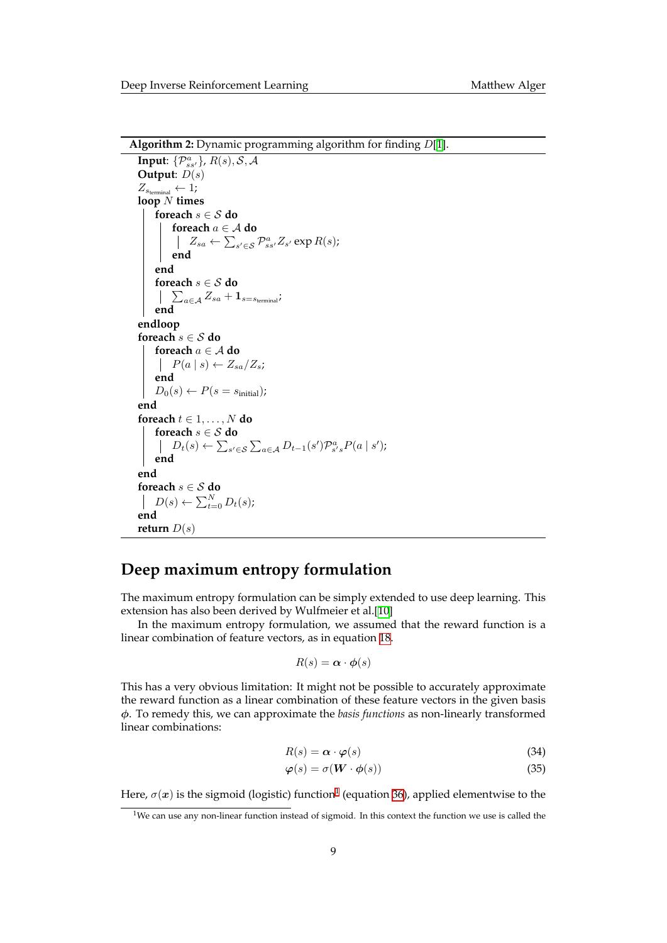**Algorithm 2:** Dynamic programming algorithm for finding *D*[1].

```
Input: \{\mathcal{P}_{ss'}^a\}, R(s), \mathcal{S}, \mathcal{A}Output: D(s)
Z_{s_{\text{terminal}}} \leftarrow 1;loop N times
     foreach s ∈ S do
           foreach a ∈ A do
                 Z_{sa} \leftarrow \sum_{s' \in S} \mathcal{P}_{ss'}^a Z_{s'} \exp R(s);end
     end
      foreach
s ∈ S do
            \sum_{a \in \mathcal{A}} Z_{sa} + \mathbf{1}_{s=s_{\text{terminal}}}end
endloop
foreach s ∈ S do
     foreach a \in A do
       \left| P(a \mid s) \leftarrow Z_{sa}/Z_s;end
     D_0(s) \leftarrow P(s = s_{\text{initial}});end
foreach t \in 1, \ldots, N do
     foreach s ∈ S do
            D_t(s) \leftarrow \sum_{s' \in \mathcal{S}} \sum_{a \in \mathcal{A}} D_{t-1}(s') \mathcal{P}_{s's}^a P(a \mid s');end
end
foreach s ∈ S do
      D(s) \leftarrow \sum_{t=0}^{N} D_t(s);end
return D(s)
```
# <span id="page-8-1"></span>**Deep maximum entropy formulation**

The maximum entropy formulation can be simply extended to use deep learning. This extension has also been derived by Wulfmeier et al.[10]

In the maximum entropy formulation, we assumed that the reward function is a linear combination of feature vectors, as in equation 18.

$$
R(s) = \boldsymbol{\alpha} \cdot \boldsymbol{\phi}(s)
$$

This has a very obvious limitation: It might not be possible to accurately approximate the reward function as a linear combination of thes[e fe](#page-5-0)ature vectors in the given basis *ϕ*. To remedy this, we can approximate the *basis functions* as non-linearly transformed linear combinations:

$$
R(s) = \alpha \cdot \varphi(s) \tag{34}
$$

$$
\varphi(s) = \sigma(\boldsymbol{W} \cdot \boldsymbol{\phi}(s)) \tag{35}
$$

Here,  $\sigma(\bm{x})$  is the sigmoid (logistic) function $^1$  (equation 36), applied elementwise to the

<span id="page-8-0"></span><sup>&</sup>lt;sup>1</sup>We can use any non-linear function instead of sigmoid. In this context the function we use is called the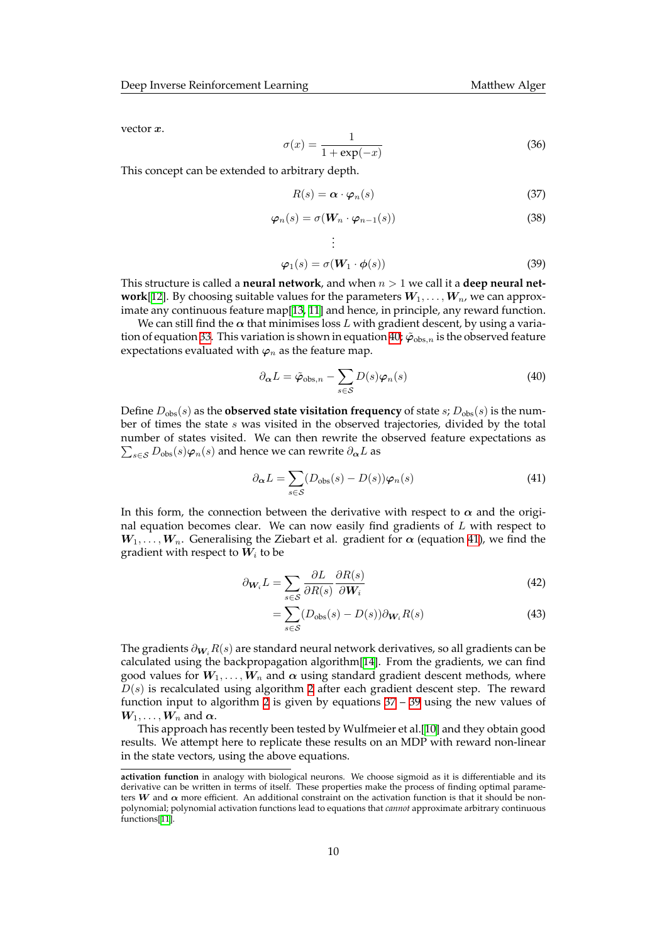vector *x*.

$$
\sigma(x) = \frac{1}{1 + \exp(-x)}\tag{36}
$$

This concept can be extended to arbitrary depth.

$$
R(s) = \alpha \cdot \varphi_n(s) \tag{37}
$$

$$
\varphi_n(s) = \sigma(W_n \cdot \varphi_{n-1}(s)) \tag{38}
$$

$$
\vdots
$$
  

$$
\varphi_1(s) = \sigma(W_1 \cdot \phi(s))
$$
 (39)

This structure is called a **neural network**, and when  $n > 1$  we call it a **deep neural network**[12]. By choosing suitable values for the parameters  $W_1, \ldots, W_n$ , we can approximate any continuous feature map[13, 11] and hence, in principle, any reward function.

.

We can still find the *α* that minimises loss *L* with gradient descent, by using a variation of equation 33. This variation is shown in equation 40;  $\tilde{\varphi}_{obs,n}$  is the observed feature expec[tati](#page-17-5)ons evaluated with  $\varphi_n$  as the feature map.

$$
\partial_{\alpha} L = \tilde{\varphi}_{obs,n} - \sum_{s \in \mathcal{S}} D(s) \varphi_n(s)
$$
\n(40)

Define  $D_{obs}(s)$  as the **observed state visitation frequency** of state *s*;  $D_{obs}(s)$  is the number of times the state *s* was visited in the observed trajectories, divided by the total number of states visited. We can then rewrite the observed feature expectations as  $\sum_{s \in \mathcal{S}} D_{\text{obs}}(s) \varphi_n(s)$  and hence we can rewrite  $\partial_{\boldsymbol{\alpha}} L$  as

$$
\partial_{\alpha}L = \sum_{s \in \mathcal{S}} (D_{\text{obs}}(s) - D(s))\varphi_n(s) \tag{41}
$$

In this form, the connection between the derivative with respect to  $\alpha$  and the original equation becomes clear. We can now easily find gradients of *L* with respect to  $W_1, \ldots, W_n$ . Generalising the Ziebart et al. gradient for  $\alpha$  (equation 41), we find the gradient with respect to *W<sup>i</sup>* to be

$$
\partial_{\mathbf{W}_i} L = \sum_{s \in \mathcal{S}} \frac{\partial L}{\partial R(s)} \frac{\partial R(s)}{\partial \mathbf{W}_i} \tag{42}
$$

$$
=\sum_{s\in S}(D_{\text{obs}}(s)-D(s))\partial_{\mathbf{W}_i}R(s)
$$
\n(43)

The gradients *∂<sup>W</sup>iR*(*s*) are standard neural network derivatives, so all gradients can be calculated using the backpropagation algorithm[14]. From the gradients, we can find good values for  $W_1, \ldots, W_n$  and  $\alpha$  using standard gradient descent methods, where *D*(*s*) is recalculated using algorithm 2 after each gradient descent step. The reward function input to algorithm 2 is given by equations 37 – 39 using the new values of  $W_1, \ldots, W_n$  and  $\alpha$ .

This approach has recently been tested by Wulfmeier et al.[10] and they obtain good results. We attempt here to replicate [th](#page-8-1)ese results on an MDP with reward non-linear in the state vectors, using th[e a](#page-8-1)bove equations.

**activation function** in analogy with biological neurons. We choose sigmoid as it is differentiable and its derivative can be written in terms of itself. These properties make the proc[ess](#page-17-7) of finding optimal parameters  $W$  and  $\alpha$  more efficient. An additional constraint on the activation function is that it should be nonpolynomial; polynomial activation functions lead to equations that *cannot* approximate arbitrary continuous functions[11].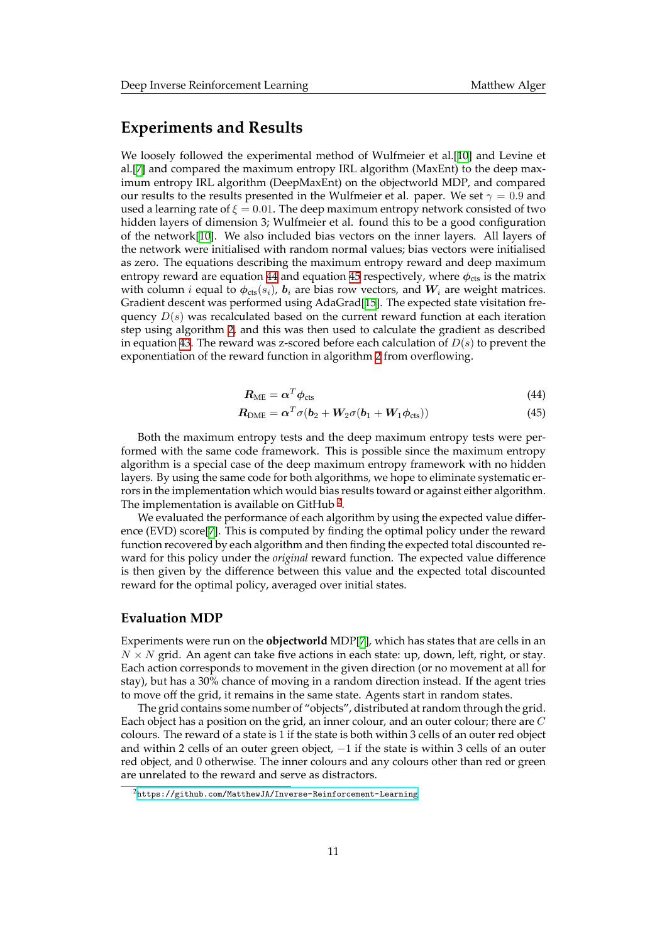# **Experiments and Results**

We loosely followed the experimental method of Wulfmeier et al.[10] and Levine et al.[7] and compared the maximum entropy IRL algorithm (MaxEnt) to the deep maximum entropy IRL algorithm (DeepMaxEnt) on the objectworld MDP, and compared our results to the results presented in the Wulfmeier et al. paper. We set  $\gamma = 0.9$  and used a learning rate of  $\xi = 0.01$ . The deep maximum entropy netwo[rk c](#page-17-7)onsisted of two hi[dd](#page-17-3)en layers of dimension 3; Wulfmeier et al. found this to be a good configuration of the network[10]. We also included bias vectors on the inner layers. All layers of the network were initialised with random normal values; bias vectors were initialised as zero. The equations describing the maximum entropy reward and deep maximum entropy reward are equation 44 and equation 45 respectively, where *ϕ*cts is the matrix with column *i* [equ](#page-17-7)al to  $\phi_{\text{cts}}(s_i)$ ,  $b_i$  are bias row vectors, and  $W_i$  are weight matrices. Gradient descent was performed using AdaGrad[15]. The expected state visitation frequency  $D(s)$  was recalculated based on the current reward function at each iteration step using algorithm 2, andt[his](#page-10-0) was then use[d t](#page-10-1)o calculate the gradient as described in equation 43. The reward was z-scored before each calculation of *D*(*s*) to prevent the exponentiation of the reward function in algorith[m](#page-17-8) 2 from overflowing.

<span id="page-10-1"></span><span id="page-10-0"></span>
$$
R_{\text{ME}} = \alpha^T \phi_{\text{cts}} \tag{44}
$$

$$
R_{\text{DME}} = \alpha^T \sigma (b_2 + W_2 \sigma (b_1 + W_1 \phi_{\text{cts}}))
$$
\n(45)

Both the maximum entropy tests and the deep maximum entropy tests were performed with the same code framework. This is possible since the maximum entropy algorithm is a special case of the deep maximum entropy framework with no hidden layers. By using the same code for both algorithms, we hope to eliminate systematic errors in the implementation which would bias results toward or against either algorithm. The implementation is available on GitHub<sup>2</sup>.

We evaluated the performance of each algorithm by using the expected value difference (EVD) score[7]. This is computed by finding the optimal policy under the reward function recovered by each algorithm and then finding the expected total discounted reward for this policy under the *original* rewa[rd](#page-10-2) function. The expected value difference is then given by the difference between this value and the expected total discounted reward for the op[ti](#page-17-3)mal policy, averaged over initial states.

### **Evaluation MDP**

Experiments were run on the **objectworld** MDP[7], which has states that are cells in an *N × N* grid. An agent can take five actions in each state: up, down, left, right, or stay. Each action corresponds to movement in the given direction (or no movement at all for stay), but has a 30% chance of moving in a random direction instead. If the agent tries to move off the grid, it remains in the same state[. A](#page-17-3)gents start in random states.

The grid contains some number of "objects", distributed at random through the grid. Each object has a position on the grid, an inner colour, and an outer colour; there are *C* colours. The reward of a state is 1 if the state is both within 3 cells of an outer red object and within 2 cells of an outer green object, *−*1 if the state is within 3 cells of an outer red object, and 0 otherwise. The inner colours and any colours other than red or green are unrelated to the reward and serve as distractors.

<span id="page-10-2"></span><sup>2</sup>https://github.com/MatthewJA/Inverse-Reinforcement-Learning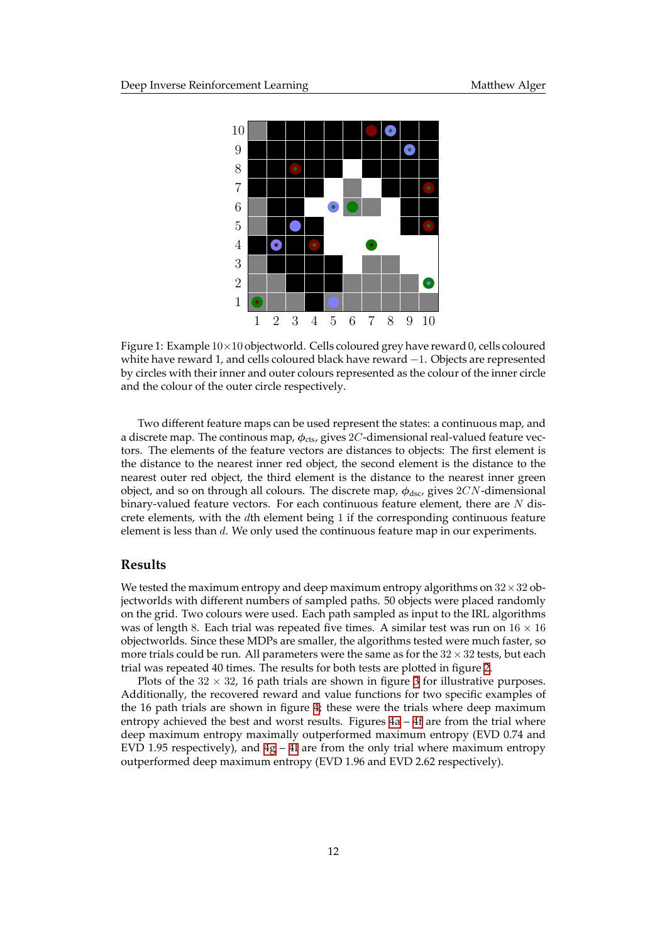

Figure 1: Example 10*×*10 objectworld. Cells coloured grey have reward 0, cells coloured white have reward 1, and cells coloured black have reward *−*1. Objects are represented by circles with their inner and outer colours represented as the colour of the inner circle and the colour of the outer circle respectively.

Two different feature maps can be used represent the states: a continuous map, and a discrete map. The continous map,  $\phi_{\text{cts}}$ , gives 2*C*-dimensional real-valued feature vectors. The elements of the feature vectors are distances to objects: The first element is the distance to the nearest inner red object, the second element is the distance to the nearest outer red object, the third element is the distance to the nearest inner green object, and so on through all colours. The discrete map, *ϕ*dsc, gives 2*CN*-dimensional binary-valued feature vectors. For each continuous feature element, there are *N* discrete elements, with the *d*th element being 1 if the corresponding continuous feature element is less than *d*. We only used the continuous feature map in our experiments.

### **Results**

We tested the maximum entropy and deep maximum entropy algorithms on 32*×*32 objectworlds with different numbers of sampled paths. 50 objects were placed randomly on the grid. Two colours were used. Each path sampled as input to the IRL algorithms was of length 8. Each trial was repeated five times. A similar test was run on 16 *×* 16 objectworlds. Since these MDPs are smaller, the algorithms tested were much faster, so more trials could be run. All parameters were the same as for the 32*×*32 tests, but each trial was repeated 40 times. The results for both tests are plotted in figure 2.

Plots of the  $32 \times 32$ , 16 path trials are shown in figure 3 for illustrative purposes. Additionally, the recovered reward and value functions for two specific examples of the 16 path trials are shown in figure 4; these were the trials where deep maximum entropy achieved the best and worst results. Figures 4a – 4f are from th[e](#page-12-0) trial where deep maximum entropy maximally outperformed maxim[um](#page-13-0) entropy (EVD 0.74 and EVD 1.95 respectively), and  $4g - 4l$  are from the only trial where maximum entropy outperformed deep maximum entropy [\(E](#page-14-0)VD 1.96 and EVD 2.62 respectively).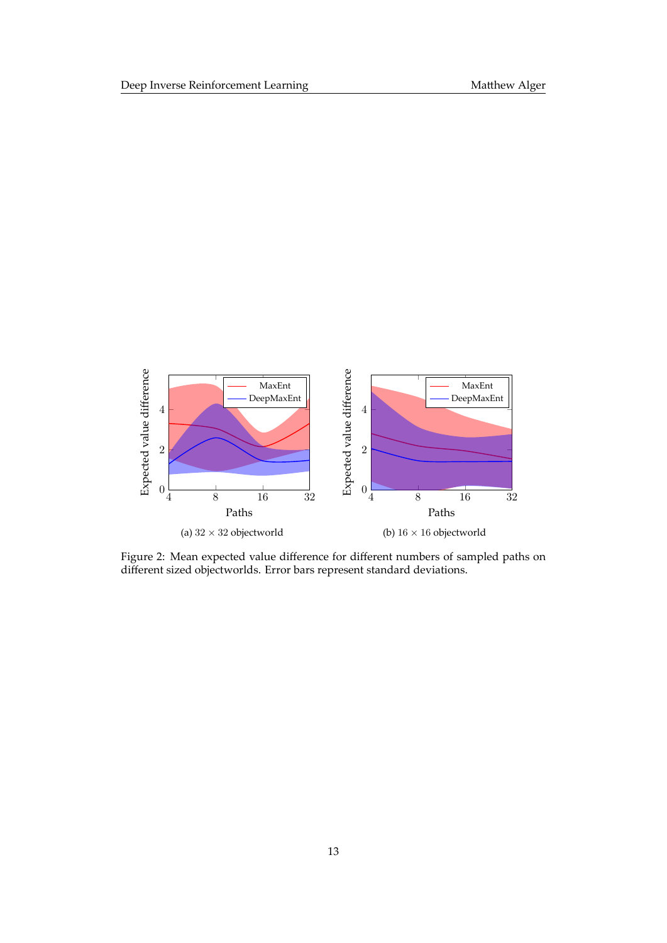<span id="page-12-0"></span>

Figure 2: Mean expected value difference for different numbers of sampled paths on different sized objectworlds. Error bars represent standard deviations.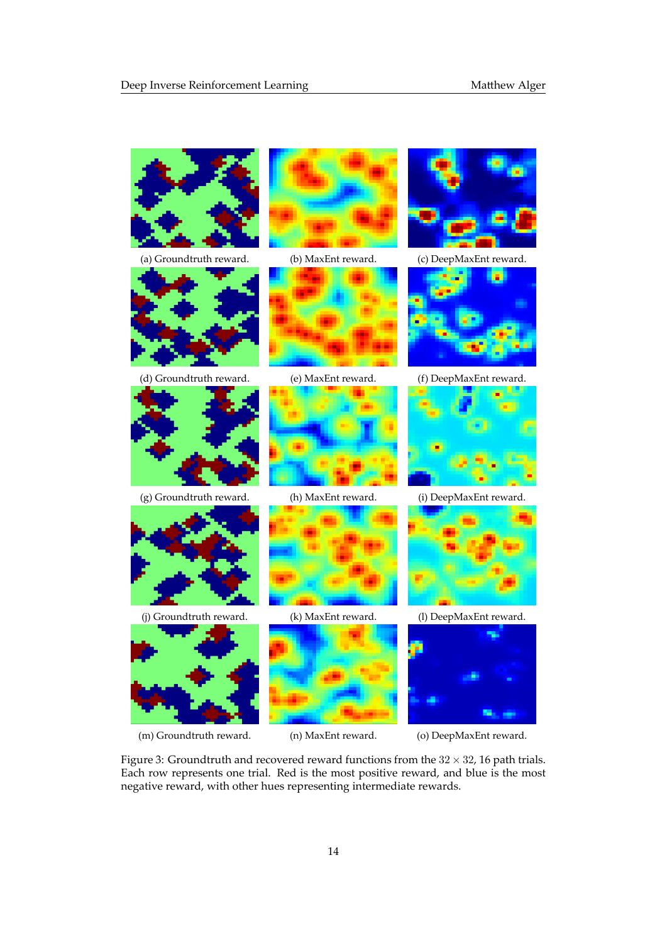<span id="page-13-0"></span>

Figure 3: Groundtruth and recovered reward functions from the 32 *×* 32, 16 path trials. Each row represents one trial. Red is the most positive reward, and blue is the most negative reward, with other hues representing intermediate rewards.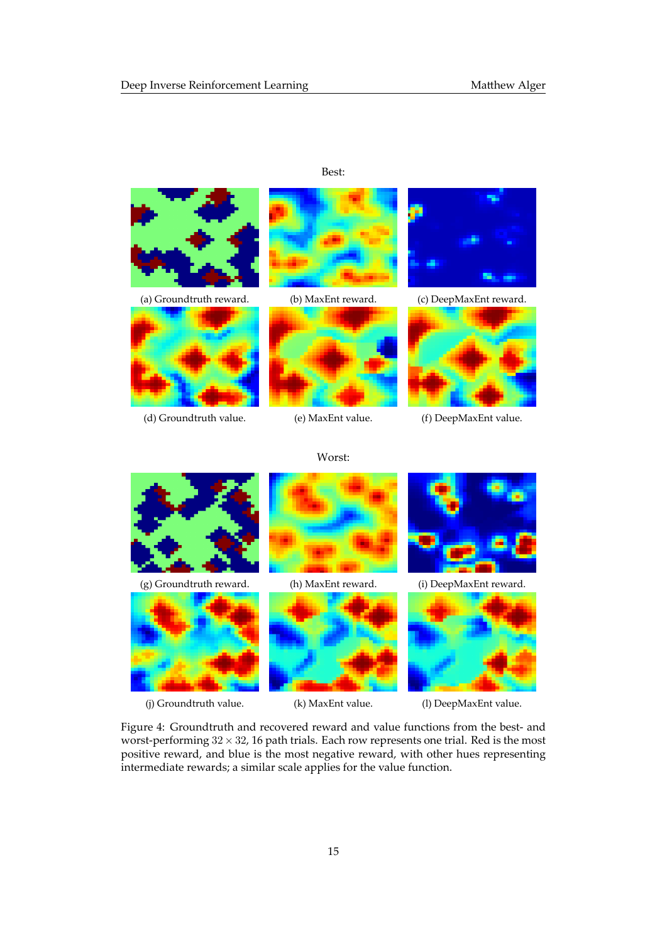# <span id="page-14-0"></span>(a) Groundtruth reward. (b) MaxEnt reward. (c) DeepMaxEnt reward. (d) Groundtruth value. (e) MaxEnt value. (f) DeepMaxEnt value.

### Worst:



(g) Groundtruth reward. (h) MaxEnt reward. (i) DeepMaxEnt reward.











(j) Groundtruth value. (k) MaxEnt value. (1) DeepMaxEnt value.

Figure 4: Groundtruth and recovered reward and value functions from the best- and worst-performing 32*×* 32, 16 path trials. Each row represents one trial. Red is the most positive reward, and blue is the most negative reward, with other hues representing intermediate rewards; a similar scale applies for the value function.

### Best: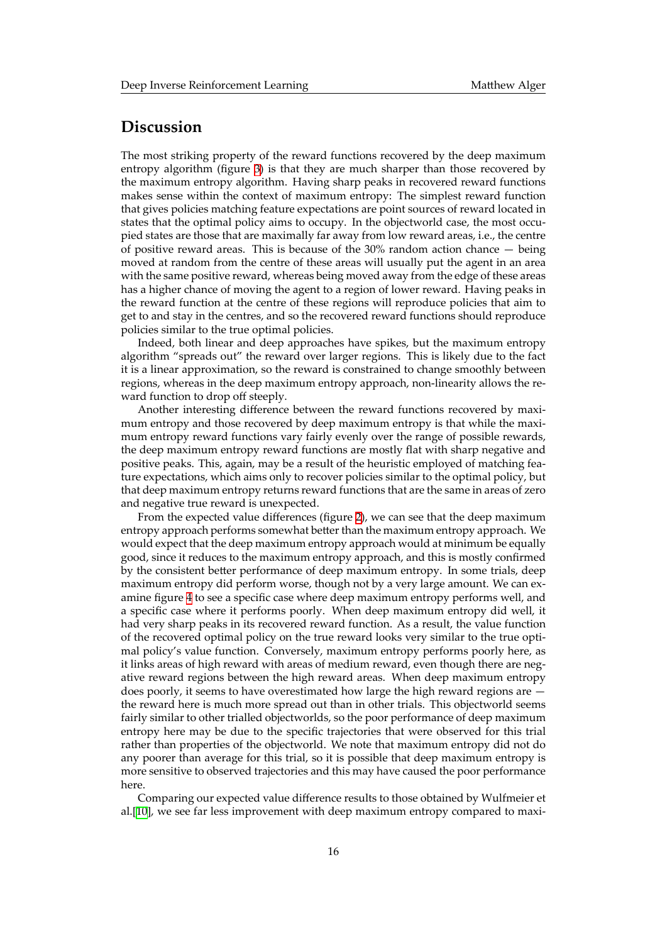# **Discussion**

The most striking property of the reward functions recovered by the deep maximum entropy algorithm (figure 3) is that they are much sharper than those recovered by the maximum entropy algorithm. Having sharp peaks in recovered reward functions makes sense within the context of maximum entropy: The simplest reward function that gives policies matching feature expectations are point sources of reward located in states that the optimal poli[cy](#page-13-0) aims to occupy. In the objectworld case, the most occupied states are those that are maximally far away from low reward areas, i.e., the centre of positive reward areas. This is because of the 30% random action chance — being moved at random from the centre of these areas will usually put the agent in an area with the same positive reward, whereas being moved away from the edge of these areas has a higher chance of moving the agent to a region of lower reward. Having peaks in the reward function at the centre of these regions will reproduce policies that aim to get to and stay in the centres, and so the recovered reward functions should reproduce policies similar to the true optimal policies.

Indeed, both linear and deep approaches have spikes, but the maximum entropy algorithm "spreads out" the reward over larger regions. This is likely due to the fact it is a linear approximation, so the reward is constrained to change smoothly between regions, whereas in the deep maximum entropy approach, non-linearity allows the reward function to drop off steeply.

Another interesting difference between the reward functions recovered by maximum entropy and those recovered by deep maximum entropy is that while the maximum entropy reward functions vary fairly evenly over the range of possible rewards, the deep maximum entropy reward functions are mostly flat with sharp negative and positive peaks. This, again, may be a result of the heuristic employed of matching feature expectations, which aims only to recover policies similar to the optimal policy, but that deep maximum entropy returns reward functions that are the same in areas of zero and negative true reward is unexpected.

From the expected value differences (figure 2), we can see that the deep maximum entropy approach performs somewhat better than the maximum entropy approach. We would expect that the deep maximum entropy approach would at minimum be equally good, since it reduces to the maximum entropy approach, and this is mostly confirmed by the consistent better perfor[ma](#page-12-0)nce of deep maximum entropy. In some trials, deep maximum entropy did perform worse, though not by a very large amount. We can examine figure 4 to see a specific case where deep maximum entropy performs well, and a specific case where it performs poorly. When deep maximum entropy did well, it had very sharp peaks in its recovered reward function. As a result, the value function of the recovered optimal policy on the true reward looks very similar to the true optimal policy's [va](#page-14-0)lue function. Conversely, maximum entropy performs poorly here, as it links areas of high reward with areas of medium reward, even though there are negative reward regions between the high reward areas. When deep maximum entropy does poorly, it seems to have overestimated how large the high reward regions are the reward here is much more spread out than in other trials. This objectworld seems fairly similar to other trialled objectworlds, so the poor performance of deep maximum entropy here may be due to the specific trajectories that were observed for this trial rather than properties of the objectworld. We note that maximum entropy did not do any poorer than average for this trial, so it is possible that deep maximum entropy is more sensitive to observed trajectories and this may have caused the poor performance here.

Comparing our expected value difference results to those obtained by Wulfmeier et al.[10], we see far less improvement with deep maximum entropy compared to maxi-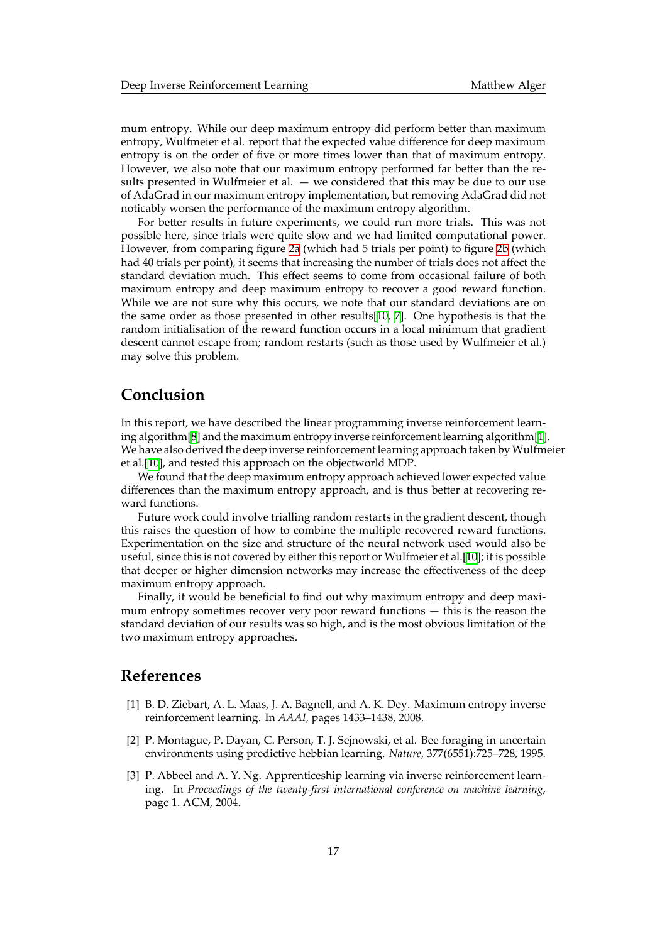mum entropy. While our deep maximum entropy did perform better than maximum entropy, Wulfmeier et al. report that the expected value difference for deep maximum entropy is on the order of five or more times lower than that of maximum entropy. However, we also note that our maximum entropy performed far better than the results presented in Wulfmeier et al. — we considered that this may be due to our use of AdaGrad in our maximum entropy implementation, but removing AdaGrad did not noticably worsen the performance of the maximum entropy algorithm.

For better results in future experiments, we could run more trials. This was not possible here, since trials were quite slow and we had limited computational power. However, from comparing figure 2a (which had 5 trials per point) to figure 2b (which had 40 trials per point), it seems that increasing the number of trials does not affect the standard deviation much. This effect seems to come from occasional failure of both maximum entropy and deep maximum entropy to recover a good reward function. While we are not sure why this [occ](#page-12-0)urs, we note that our standard deviati[ons](#page-12-0) are on the same order as those presented in other results[10, 7]. One hypothesis is that the random initialisation of the reward function occurs in a local minimum that gradient descent cannot escape from; random restarts (such as those used by Wulfmeier et al.) may solve this problem.

# **Conclusion**

In this report, we have described the linear programming inverse reinforcement learning algorithm[8] and the maximum entropy inverse reinforcement learning algorithm[1]. We have also derived the deep inverse reinforcement learning approach taken by Wulfmeier et al.[10], and tested this approach on the objectworld MDP.

We found that the deep maximum entropy approach achieved lower expected value differences th[an](#page-17-4)the maximum entropy approach, and is thus better at recovering r[e](#page-16-0)ward functions.

F[utu](#page-17-7)re work could involve trialling random restarts in the gradient descent, though this raises the question of how to combine the multiple recovered reward functions. Experimentation on the size and structure of the neural network used would also be useful, since this is not covered by either this report or Wulfmeier et al.[10]; it is possible that deeper or higher dimension networks may increase the effectiveness of the deep maximum entropy approach.

Finally, it would be beneficial to find out why maximum entropy and deep maximum entropy sometimes recover very poor reward functions — this [is t](#page-17-7)he reason the standard deviation of our results was so high, and is the most obvious limitation of the two maximum entropy approaches.

# **References**

- [1] B. D. Ziebart, A. L. Maas, J. A. Bagnell, and A. K. Dey. Maximum entropy inverse reinforcement learning. In *AAAI*, pages 1433–1438, 2008.
- <span id="page-16-0"></span>[2] P. Montague, P. Dayan, C. Person, T. J. Sejnowski, et al. Bee foraging in uncertain environments using predictive hebbian learning. *Nature*, 377(6551):725–728, 1995.
- <span id="page-16-2"></span><span id="page-16-1"></span>[3] P. Abbeel and A. Y. Ng. Apprenticeship learning via inverse reinforcement learning. In *Proceedings of the twenty-first international conference on machine learning*, page 1. ACM, 2004.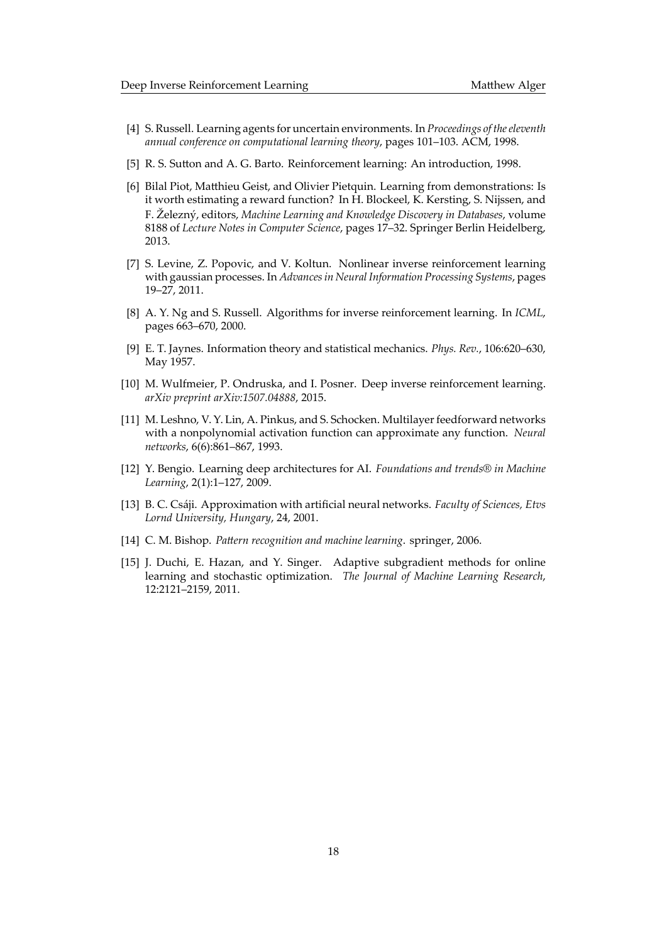- <span id="page-17-0"></span>[4] S. Russell. Learning agents for uncertain environments. In *Proceedings of the eleventh annual conference on computational learning theory*, pages 101–103. ACM, 1998.
- <span id="page-17-1"></span>[5] R. S. Sutton and A. G. Barto. Reinforcement learning: An introduction, 1998.
- <span id="page-17-2"></span>[6] Bilal Piot, Matthieu Geist, and Olivier Pietquin. Learning from demonstrations: Is it worth estimating a reward function? In H. Blockeel, K. Kersting, S. Nijssen, and F. Železný, editors, *Machine Learning and Knowledge Discovery in Databases*, volume 8188 of *Lecture Notes in Computer Science*, pages 17–32. Springer Berlin Heidelberg, 2013.
- <span id="page-17-3"></span>[7] S. Levine, Z. Popovic, and V. Koltun. Nonlinear inverse reinforcement learning with gaussian processes. In *Advances in Neural Information Processing Systems*, pages 19–27, 2011.
- <span id="page-17-4"></span>[8] A. Y. Ng and S. Russell. Algorithms for inverse reinforcement learning. In *ICML*, pages 663–670, 2000.
- [9] E. T. Jaynes. Information theory and statistical mechanics. *Phys. Rev.*, 106:620–630, May 1957.
- <span id="page-17-7"></span>[10] M. Wulfmeier, P. Ondruska, and I. Posner. Deep inverse reinforcement learning. *arXiv preprint arXiv:1507.04888*, 2015.
- [11] M. Leshno, V. Y. Lin, A. Pinkus, and S. Schocken. Multilayer feedforward networks with a nonpolynomial activation function can approximate any function. *Neural networks*, 6(6):861–867, 1993.
- <span id="page-17-5"></span>[12] Y. Bengio. Learning deep architectures for AI. *Foundations and trends® in Machine Learning*, 2(1):1–127, 2009.
- <span id="page-17-6"></span>[13] B. C. Csáji. Approximation with artificial neural networks. *Faculty of Sciences, Etvs Lornd University, Hungary*, 24, 2001.
- [14] C. M. Bishop. *Pattern recognition and machine learning*. springer, 2006.
- <span id="page-17-8"></span>[15] J. Duchi, E. Hazan, and Y. Singer. Adaptive subgradient methods for online learning and stochastic optimization. *The Journal of Machine Learning Research*, 12:2121–2159, 2011.